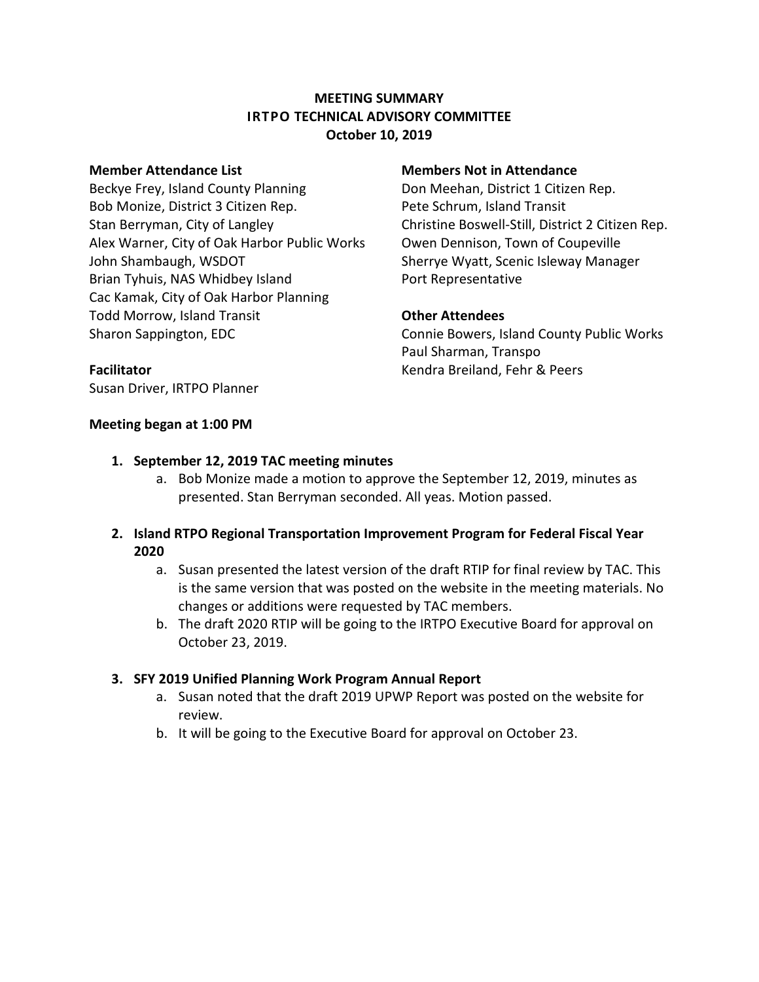# **MEETING SUMMARY IRTPO TECHNICAL ADVISORY COMMITTEE October 10, 2019**

Beckye Frey, Island County Planning **Don Meehan, District 1 Citizen Rep.** Bob Monize, District 3 Citizen Rep. Pete Schrum, Island Transit Stan Berryman, City of Langley Christine Boswell-Still, District 2 Citizen Rep. Alex Warner, City of Oak Harbor Public Works Owen Dennison, Town of Coupeville John Shambaugh, WSDOT Sherrye Wyatt, Scenic Isleway Manager Brian Tyhuis, NAS Whidbey Island Port Representative Cac Kamak, City of Oak Harbor Planning Todd Morrow, Island Transit **Other Attendees** Sharon Sappington, EDC **Connie Bowers, Island County Public Works** 

### **Member Attendance List Members Not in Attendance**

Paul Sharman, Transpo **Facilitator** Kendra Breiland, Fehr & Peers

Susan Driver, IRTPO Planner

### **Meeting began at 1:00 PM**

## **1. September 12, 2019 TAC meeting minutes**

- a. Bob Monize made a motion to approve the September 12, 2019, minutes as presented. Stan Berryman seconded. All yeas. Motion passed.
- **2. Island RTPO Regional Transportation Improvement Program for Federal Fiscal Year 2020**
	- a. Susan presented the latest version of the draft RTIP for final review by TAC. This is the same version that was posted on the website in the meeting materials. No changes or additions were requested by TAC members.
	- b. The draft 2020 RTIP will be going to the IRTPO Executive Board for approval on October 23, 2019.

## **3. SFY 2019 Unified Planning Work Program Annual Report**

- a. Susan noted that the draft 2019 UPWP Report was posted on the website for review.
- b. It will be going to the Executive Board for approval on October 23.